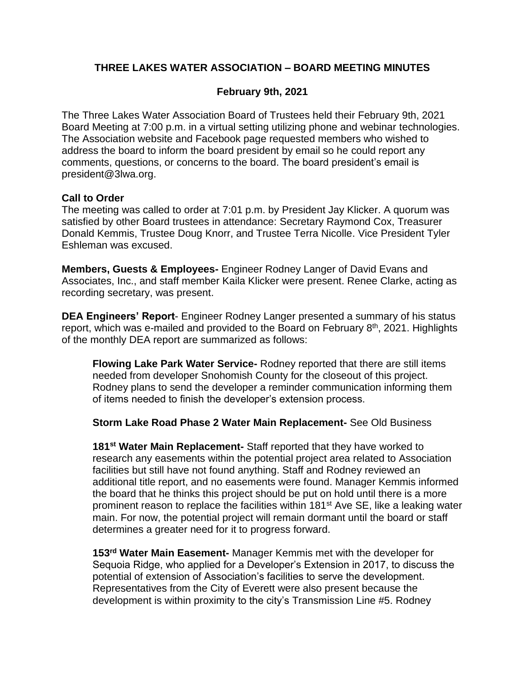# **THREE LAKES WATER ASSOCIATION – BOARD MEETING MINUTES**

## **February 9th, 2021**

The Three Lakes Water Association Board of Trustees held their February 9th, 2021 Board Meeting at 7:00 p.m. in a virtual setting utilizing phone and webinar technologies. The Association website and Facebook page requested members who wished to address the board to inform the board president by email so he could report any comments, questions, or concerns to the board. The board president's email is president@3lwa.org.

### **Call to Order**

The meeting was called to order at 7:01 p.m. by President Jay Klicker. A quorum was satisfied by other Board trustees in attendance: Secretary Raymond Cox, Treasurer Donald Kemmis, Trustee Doug Knorr, and Trustee Terra Nicolle. Vice President Tyler Eshleman was excused.

**Members, Guests & Employees-** Engineer Rodney Langer of David Evans and Associates, Inc., and staff member Kaila Klicker were present. Renee Clarke, acting as recording secretary, was present.

**DEA Engineers' Report**- Engineer Rodney Langer presented a summary of his status report, which was e-mailed and provided to the Board on February 8<sup>th</sup>, 2021. Highlights of the monthly DEA report are summarized as follows:

**Flowing Lake Park Water Service-** Rodney reported that there are still items needed from developer Snohomish County for the closeout of this project. Rodney plans to send the developer a reminder communication informing them of items needed to finish the developer's extension process.

**Storm Lake Road Phase 2 Water Main Replacement-** See Old Business

**181st Water Main Replacement-** Staff reported that they have worked to research any easements within the potential project area related to Association facilities but still have not found anything. Staff and Rodney reviewed an additional title report, and no easements were found. Manager Kemmis informed the board that he thinks this project should be put on hold until there is a more prominent reason to replace the facilities within 181<sup>st</sup> Ave SE, like a leaking water main. For now, the potential project will remain dormant until the board or staff determines a greater need for it to progress forward.

**153rd Water Main Easement-** Manager Kemmis met with the developer for Sequoia Ridge, who applied for a Developer's Extension in 2017, to discuss the potential of extension of Association's facilities to serve the development. Representatives from the City of Everett were also present because the development is within proximity to the city's Transmission Line #5. Rodney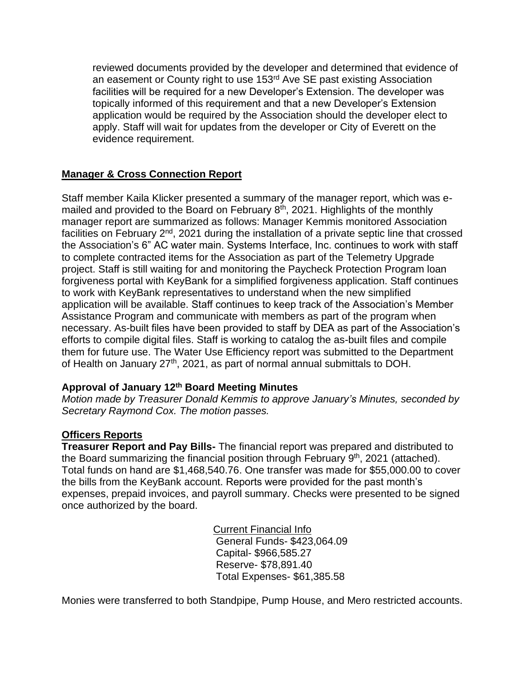reviewed documents provided by the developer and determined that evidence of an easement or County right to use 153<sup>rd</sup> Ave SE past existing Association facilities will be required for a new Developer's Extension. The developer was topically informed of this requirement and that a new Developer's Extension application would be required by the Association should the developer elect to apply. Staff will wait for updates from the developer or City of Everett on the evidence requirement.

# **Manager & Cross Connection Report**

Staff member Kaila Klicker presented a summary of the manager report, which was emailed and provided to the Board on February  $8<sup>th</sup>$ , 2021. Highlights of the monthly manager report are summarized as follows: Manager Kemmis monitored Association facilities on February  $2<sup>nd</sup>$ , 2021 during the installation of a private septic line that crossed the Association's 6" AC water main. Systems Interface, Inc. continues to work with staff to complete contracted items for the Association as part of the Telemetry Upgrade project. Staff is still waiting for and monitoring the Paycheck Protection Program loan forgiveness portal with KeyBank for a simplified forgiveness application. Staff continues to work with KeyBank representatives to understand when the new simplified application will be available. Staff continues to keep track of the Association's Member Assistance Program and communicate with members as part of the program when necessary. As-built files have been provided to staff by DEA as part of the Association's efforts to compile digital files. Staff is working to catalog the as-built files and compile them for future use. The Water Use Efficiency report was submitted to the Department of Health on January 27<sup>th</sup>, 2021, as part of normal annual submittals to DOH.

### **Approval of January 12th Board Meeting Minutes**

*Motion made by Treasurer Donald Kemmis to approve January's Minutes, seconded by Secretary Raymond Cox. The motion passes.*

### **Officers Reports**

**Treasurer Report and Pay Bills-** The financial report was prepared and distributed to the Board summarizing the financial position through February 9<sup>th</sup>, 2021 (attached). Total funds on hand are \$1,468,540.76. One transfer was made for \$55,000.00 to cover the bills from the KeyBank account. Reports were provided for the past month's expenses, prepaid invoices, and payroll summary. Checks were presented to be signed once authorized by the board.

> Current Financial Info General Funds- \$423,064.09 Capital- \$966,585.27 Reserve- \$78,891.40 Total Expenses- \$61,385.58

Monies were transferred to both Standpipe, Pump House, and Mero restricted accounts.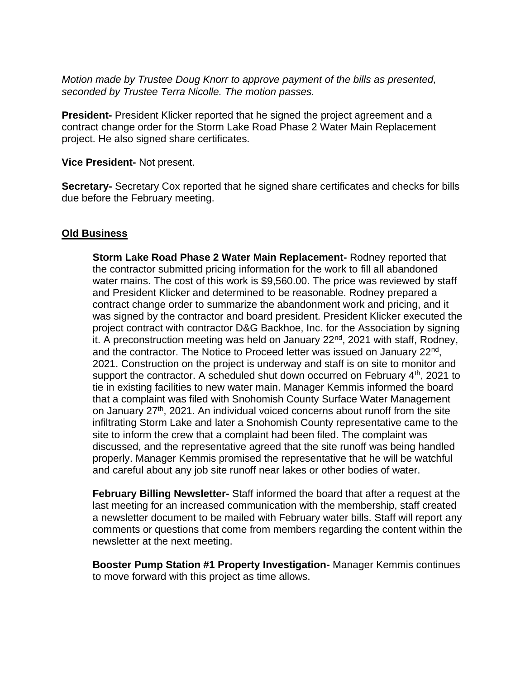*Motion made by Trustee Doug Knorr to approve payment of the bills as presented, seconded by Trustee Terra Nicolle. The motion passes.*

**President-** President Klicker reported that he signed the project agreement and a contract change order for the Storm Lake Road Phase 2 Water Main Replacement project. He also signed share certificates.

**Vice President-** Not present.

**Secretary-** Secretary Cox reported that he signed share certificates and checks for bills due before the February meeting.

#### **Old Business**

**Storm Lake Road Phase 2 Water Main Replacement-** Rodney reported that the contractor submitted pricing information for the work to fill all abandoned water mains. The cost of this work is \$9,560.00. The price was reviewed by staff and President Klicker and determined to be reasonable. Rodney prepared a contract change order to summarize the abandonment work and pricing, and it was signed by the contractor and board president. President Klicker executed the project contract with contractor D&G Backhoe, Inc. for the Association by signing it. A preconstruction meeting was held on January  $22<sup>nd</sup>$ , 2021 with staff, Rodney, and the contractor. The Notice to Proceed letter was issued on January 22<sup>nd</sup>, 2021. Construction on the project is underway and staff is on site to monitor and support the contractor. A scheduled shut down occurred on February  $4<sup>th</sup>$ , 2021 to tie in existing facilities to new water main. Manager Kemmis informed the board that a complaint was filed with Snohomish County Surface Water Management on January 27<sup>th</sup>, 2021. An individual voiced concerns about runoff from the site infiltrating Storm Lake and later a Snohomish County representative came to the site to inform the crew that a complaint had been filed. The complaint was discussed, and the representative agreed that the site runoff was being handled properly. Manager Kemmis promised the representative that he will be watchful and careful about any job site runoff near lakes or other bodies of water.

**February Billing Newsletter-** Staff informed the board that after a request at the last meeting for an increased communication with the membership, staff created a newsletter document to be mailed with February water bills. Staff will report any comments or questions that come from members regarding the content within the newsletter at the next meeting.

**Booster Pump Station #1 Property Investigation-** Manager Kemmis continues to move forward with this project as time allows.